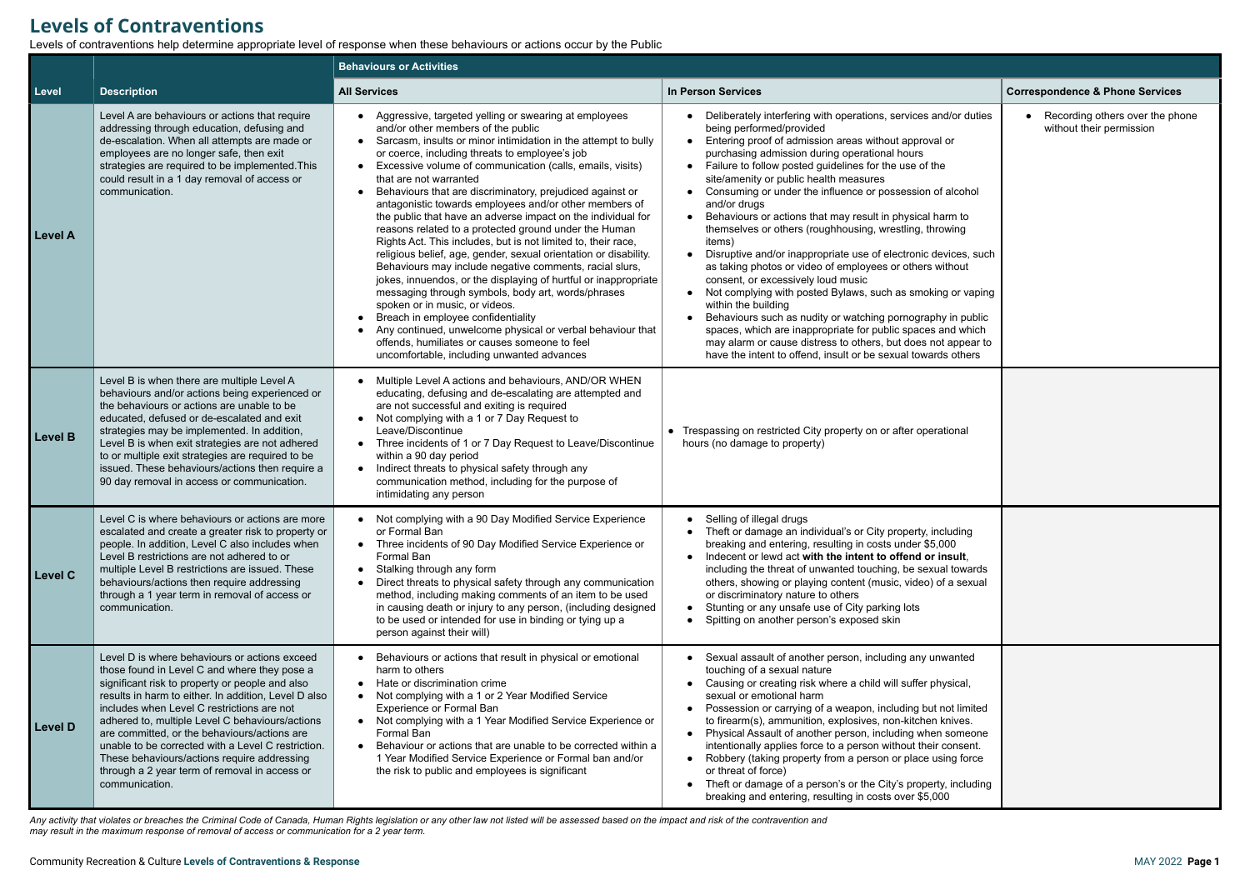## **Levels of Contraventions**

Levels of contraventions help determine appropriate level of response when these behaviours or actions occur by the Public

|                |                                                                                                                                                                                                                                                                                                                                                                                                                                                                                                                                   | <b>Behaviours or Activities</b>                                                                                                                                                                                                                                                                                                                                                                                                                                                                                                                                                                                                                                                                                                                                                                                                                                                                                                                                                                                                                                                                                            |                                                                                                                                                                                                                                                                                                                                                                                                                                                                                                                                                                                                                                                                                                                                                                                                                                                                                                                                                                                                                                                                   |                                                               |  |  |
|----------------|-----------------------------------------------------------------------------------------------------------------------------------------------------------------------------------------------------------------------------------------------------------------------------------------------------------------------------------------------------------------------------------------------------------------------------------------------------------------------------------------------------------------------------------|----------------------------------------------------------------------------------------------------------------------------------------------------------------------------------------------------------------------------------------------------------------------------------------------------------------------------------------------------------------------------------------------------------------------------------------------------------------------------------------------------------------------------------------------------------------------------------------------------------------------------------------------------------------------------------------------------------------------------------------------------------------------------------------------------------------------------------------------------------------------------------------------------------------------------------------------------------------------------------------------------------------------------------------------------------------------------------------------------------------------------|-------------------------------------------------------------------------------------------------------------------------------------------------------------------------------------------------------------------------------------------------------------------------------------------------------------------------------------------------------------------------------------------------------------------------------------------------------------------------------------------------------------------------------------------------------------------------------------------------------------------------------------------------------------------------------------------------------------------------------------------------------------------------------------------------------------------------------------------------------------------------------------------------------------------------------------------------------------------------------------------------------------------------------------------------------------------|---------------------------------------------------------------|--|--|
| Level          | <b>Description</b>                                                                                                                                                                                                                                                                                                                                                                                                                                                                                                                | <b>All Services</b>                                                                                                                                                                                                                                                                                                                                                                                                                                                                                                                                                                                                                                                                                                                                                                                                                                                                                                                                                                                                                                                                                                        | <b>In Person Services</b>                                                                                                                                                                                                                                                                                                                                                                                                                                                                                                                                                                                                                                                                                                                                                                                                                                                                                                                                                                                                                                         | <b>Correspondence &amp; Phone Services</b>                    |  |  |
| <b>Level A</b> | Level A are behaviours or actions that require<br>addressing through education, defusing and<br>de-escalation. When all attempts are made or<br>employees are no longer safe, then exit<br>strategies are required to be implemented. This<br>could result in a 1 day removal of access or<br>communication.                                                                                                                                                                                                                      | • Aggressive, targeted yelling or swearing at employees<br>and/or other members of the public<br>• Sarcasm, insults or minor intimidation in the attempt to bully<br>or coerce, including threats to employee's job<br>• Excessive volume of communication (calls, emails, visits)<br>that are not warranted<br>Behaviours that are discriminatory, prejudiced against or<br>antagonistic towards employees and/or other members of<br>the public that have an adverse impact on the individual for<br>reasons related to a protected ground under the Human<br>Rights Act. This includes, but is not limited to, their race,<br>religious belief, age, gender, sexual orientation or disability.<br>Behaviours may include negative comments, racial slurs,<br>jokes, innuendos, or the displaying of hurtful or inappropriate<br>messaging through symbols, body art, words/phrases<br>spoken or in music, or videos.<br>Breach in employee confidentiality<br>Any continued, unwelcome physical or verbal behaviour that<br>offends, humiliates or causes someone to feel<br>uncomfortable, including unwanted advances | Deliberately interfering with operations, services and/or duties<br>being performed/provided<br>Entering proof of admission areas without approval or<br>$\bullet$<br>purchasing admission during operational hours<br>Failure to follow posted guidelines for the use of the<br>site/amenity or public health measures<br>Consuming or under the influence or possession of alcohol<br>and/or drugs<br>Behaviours or actions that may result in physical harm to<br>themselves or others (roughhousing, wrestling, throwing<br>items)<br>Disruptive and/or inappropriate use of electronic devices, such<br>as taking photos or video of employees or others without<br>consent, or excessively loud music<br>Not complying with posted Bylaws, such as smoking or vaping<br>within the building<br>Behaviours such as nudity or watching pornography in public<br>spaces, which are inappropriate for public spaces and which<br>may alarm or cause distress to others, but does not appear to<br>have the intent to offend, insult or be sexual towards others | • Recording others over the phone<br>without their permission |  |  |
| Level B        | Level B is when there are multiple Level A<br>behaviours and/or actions being experienced or<br>the behaviours or actions are unable to be<br>educated, defused or de-escalated and exit<br>strategies may be implemented. In addition,<br>Level B is when exit strategies are not adhered<br>to or multiple exit strategies are required to be<br>issued. These behaviours/actions then require a<br>90 day removal in access or communication.                                                                                  | • Multiple Level A actions and behaviours, AND/OR WHEN<br>educating, defusing and de-escalating are attempted and<br>are not successful and exiting is required<br>• Not complying with a 1 or 7 Day Request to<br>Leave/Discontinue<br>• Three incidents of 1 or 7 Day Request to Leave/Discontinue<br>within a 90 day period<br>• Indirect threats to physical safety through any<br>communication method, including for the purpose of<br>intimidating any person                                                                                                                                                                                                                                                                                                                                                                                                                                                                                                                                                                                                                                                       | • Trespassing on restricted City property on or after operational<br>hours (no damage to property)                                                                                                                                                                                                                                                                                                                                                                                                                                                                                                                                                                                                                                                                                                                                                                                                                                                                                                                                                                |                                                               |  |  |
| <b>Level C</b> | Level C is where behaviours or actions are more<br>escalated and create a greater risk to property or<br>people. In addition, Level C also includes when<br>Level B restrictions are not adhered to or<br>multiple Level B restrictions are issued. These<br>behaviours/actions then require addressing<br>through a 1 year term in removal of access or<br>communication.                                                                                                                                                        | • Not complying with a 90 Day Modified Service Experience<br>or Formal Ban<br>• Three incidents of 90 Day Modified Service Experience or<br>Formal Ban<br>• Stalking through any form<br>Direct threats to physical safety through any communication<br>method, including making comments of an item to be used<br>in causing death or injury to any person, (including designed<br>to be used or intended for use in binding or tying up a<br>person against their will)                                                                                                                                                                                                                                                                                                                                                                                                                                                                                                                                                                                                                                                  | Selling of illegal drugs<br>Theft or damage an individual's or City property, including<br>breaking and entering, resulting in costs under \$5,000<br>Indecent or lewd act with the intent to offend or insult,<br>including the threat of unwanted touching, be sexual towards<br>others, showing or playing content (music, video) of a sexual<br>or discriminatory nature to others<br>Stunting or any unsafe use of City parking lots<br>$\bullet$<br>Spitting on another person's exposed skin                                                                                                                                                                                                                                                                                                                                                                                                                                                                                                                                                               |                                                               |  |  |
| <b>Level D</b> | Level D is where behaviours or actions exceed<br>those found in Level C and where they pose a<br>significant risk to property or people and also<br>results in harm to either. In addition, Level D also<br>includes when Level C restrictions are not<br>adhered to, multiple Level C behaviours/actions<br>are committed, or the behaviours/actions are<br>unable to be corrected with a Level C restriction.<br>These behaviours/actions require addressing<br>through a 2 year term of removal in access or<br>communication. | • Behaviours or actions that result in physical or emotional<br>harm to others<br>• Hate or discrimination crime<br>• Not complying with a 1 or 2 Year Modified Service<br><b>Experience or Formal Ban</b><br>• Not complying with a 1 Year Modified Service Experience or<br>Formal Ban<br>• Behaviour or actions that are unable to be corrected within a<br>1 Year Modified Service Experience or Formal ban and/or<br>the risk to public and employees is significant                                                                                                                                                                                                                                                                                                                                                                                                                                                                                                                                                                                                                                                  | Sexual assault of another person, including any unwanted<br>touching of a sexual nature<br>Causing or creating risk where a child will suffer physical,<br>sexual or emotional harm<br>Possession or carrying of a weapon, including but not limited<br>to firearm(s), ammunition, explosives, non-kitchen knives.<br>Physical Assault of another person, including when someone<br>intentionally applies force to a person without their consent.<br>Robbery (taking property from a person or place using force<br>or threat of force)<br>Theft or damage of a person's or the City's property, including<br>breaking and entering, resulting in costs over \$5,000                                                                                                                                                                                                                                                                                                                                                                                             |                                                               |  |  |

*Any activity that violates or breaches the Criminal Code of Canada, Human Rights legislation or any other law not listed will be assessed based on the impact and risk of the contravention and may result in the maximum response of removal of access or communication for a 2 year term.*